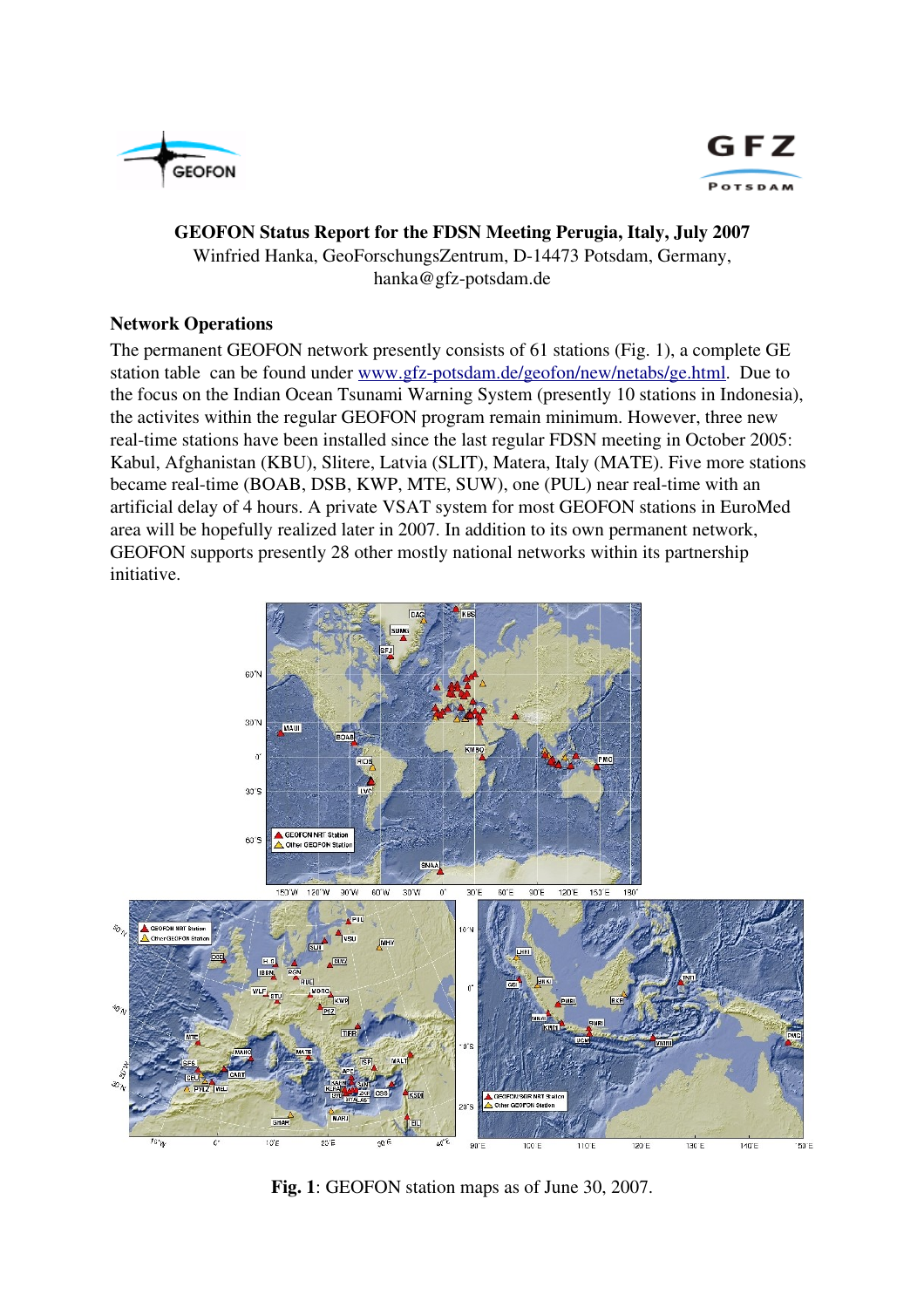



## GEOFON Status Report for the FDSN Meeting Perugia, Italy, July 2007 Winfried Hanka, GeoForschungsZentrum, D-14473 Potsdam, Germany, hanka@gfz-potsdam.de

## Network Operations

The permanent GEOFON network presently consists of 61 stations (Fig. 1), a complete GE station table can be found under www.gfz-potsdam.de/geofon/new/netabs/ge.html. Due to the focus on the Indian Ocean Tsunami Warning System (presently 10 stations in Indonesia), the activites within the regular GEOFON program remain minimum. However, three new real-time stations have been installed since the last regular FDSN meeting in October 2005: Kabul, Afghanistan (KBU), Slitere, Latvia (SLIT), Matera, Italy (MATE). Five more stations became real-time (BOAB, DSB, KWP, MTE, SUW), one (PUL) near real-time with an artificial delay of 4 hours. A private VSAT system for most GEOFON stations in EuroMed area will be hopefully realized later in 2007. In addition to its own permanent network, GEOFON supports presently 28 other mostly national networks within its partnership initiative.



Fig. 1: GEOFON station maps as of June 30, 2007.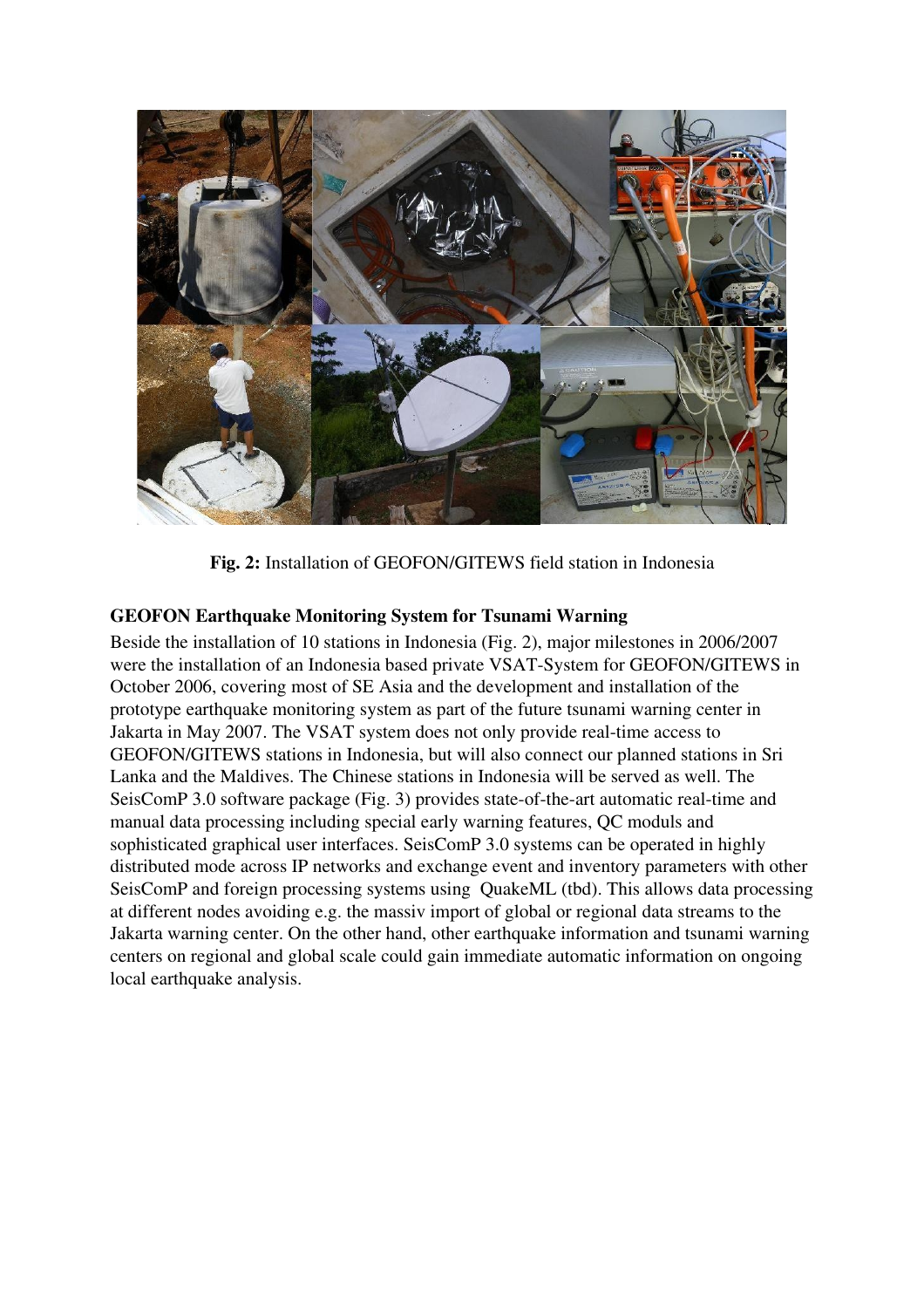

Fig. 2: Installation of GEOFON/GITEWS field station in Indonesia

## GEOFON Earthquake Monitoring System for Tsunami Warning

Beside the installation of 10 stations in Indonesia (Fig. 2), major milestones in 2006/2007 were the installation of an Indonesia based private VSAT-System for GEOFON/GITEWS in October 2006, covering most of SE Asia and the development and installation of the prototype earthquake monitoring system as part of the future tsunami warning center in Jakarta in May 2007. The VSAT system does not only provide real-time access to GEOFON/GITEWS stations in Indonesia, but will also connect our planned stations in Sri Lanka and the Maldives. The Chinese stations in Indonesia will be served as well. The SeisComP 3.0 software package (Fig. 3) provides state-of-the-art automatic real-time and manual data processing including special early warning features, QC moduls and sophisticated graphical user interfaces. SeisComP 3.0 systems can be operated in highly distributed mode across IP networks and exchange event and inventory parameters with other SeisComP and foreign processing systems using QuakeML (tbd). This allows data processing at different nodes avoiding e.g. the massiv import of global or regional data streams to the Jakarta warning center. On the other hand, other earthquake information and tsunami warning centers on regional and global scale could gain immediate automatic information on ongoing local earthquake analysis.